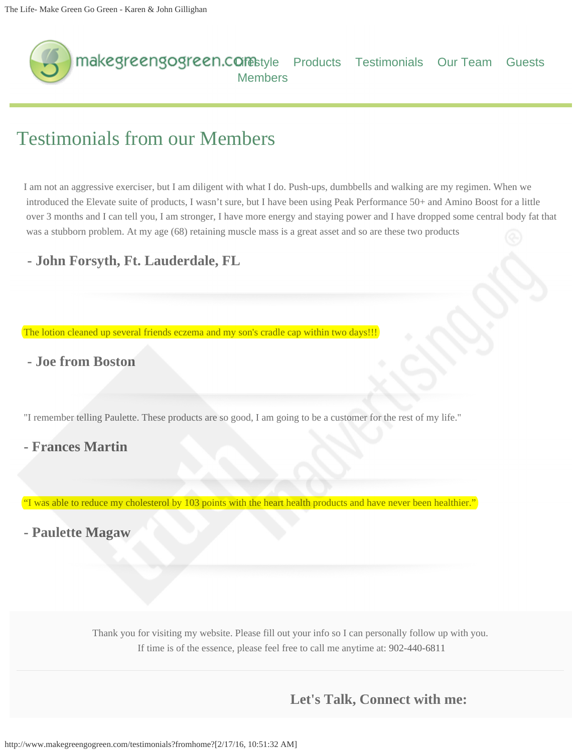<span id="page-0-0"></span>

## Testimonials from our Members

I am not an aggressive exerciser, but I am diligent with what I do. Push-ups, dumbbells and walking are my regimen. When we introduced the Elevate suite of products, I wasn't sure, but I have been using Peak Performance 50+ and Amino Boost for a little over 3 months and I can tell you, I am stronger, I have more energy and staying power and I have dropped some central body fat that was a stubborn problem. At my age (68) retaining muscle mass is a great asset and so are these two products

## **- John Forsyth, Ft. Lauderdale, FL**

The lotion cleaned up several friends eczema and my son's cradle cap within two days!!!

## **- Joe from Boston**

"I remember telling Paulette. These products are so good, I am going to be a customer for the rest of my life."

## **- Frances Martin**

"I was able to reduce my cholesterol by 103 points with the heart health products and have never been healthier."

**- Paulette Magaw**

Thank you for visiting my website. Please fill out your info so I can personally follow up with you. If time is of the essence, please feel free to call me anytime at: [902-440-6811](tel:902-440-6811)

**Let's Talk, Connect with me:**